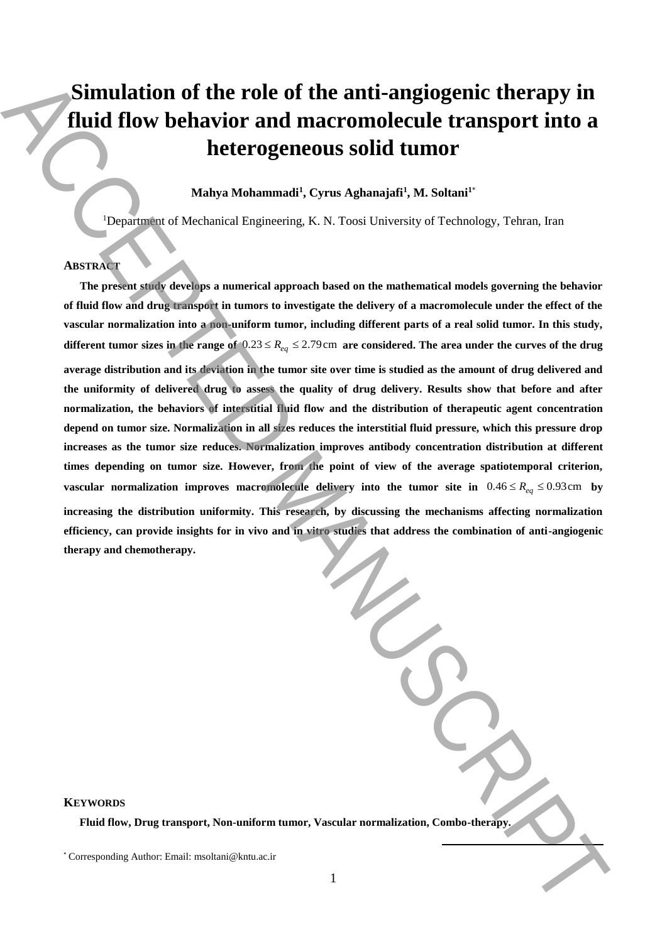# **Simulation of the role of the anti-angiogenic therapy in fluid flow behavior and macromolecule transport into a heterogeneous solid tumor**

**Mahya Mohammadi<sup>1</sup> , Cyrus Aghanajafi<sup>1</sup> , M. Soltani<sup>1</sup>**\*

<sup>1</sup>Department of Mechanical Engineering, K. N. Toosi University of Technology, Tehran, Iran

### **ABSTRACT**

**The present study develops a numerical approach based on the mathematical models governing the behavior of fluid flow and drug transport in tumors to investigate the delivery of a macromolecule under the effect of the vascular normalization into a non-uniform tumor, including different parts of a real solid tumor. In this study,**  different tumor sizes in the range of  $0.23 \le R_{eq} \le 2.79$  cm are considered. The area under the curves of the drug **average distribution and its deviation in the tumor site over time is studied as the amount of drug delivered and the uniformity of delivered drug to assess the quality of drug delivery. Results show that before and after normalization, the behaviors of interstitial fluid flow and the distribution of therapeutic agent concentration depend on tumor size. Normalization in all sizes reduces the interstitial fluid pressure, which this pressure drop increases as the tumor size reduces. Normalization improves antibody concentration distribution at different times depending on tumor size. However, from the point of view of the average spatiotemporal criterion, vascular normalization improves macromolecule delivery into the tumor site in**  $0.46 \le R_{eq} \le 0.93$ cm by **increasing the distribution uniformity. This research, by discussing the mechanisms affecting normalization efficiency, can provide insights for in vivo and in vitro studies that address the combination of anti-angiogenic therapy and chemotherapy.**  Simulation of the role of the anti-angiogenic therapy in Huid flow behavior and macromolecule transport into a<br>heterogeneous solid tumor<br> $\sum_{k \in \mathbb{N}}$   $\sum_{k \in \mathbb{N}}$   $\sum_{k \in \mathbb{N}}$   $\sum_{k \in \mathbb{N}}$   $\sum_{k \in \mathbb{N}}$   $\sum_{k \in \math$ 

**KEYWORDS** 

**Fluid flow, Drug transport, Non-uniform tumor, Vascular normalization, Combo-therapy.**

**.**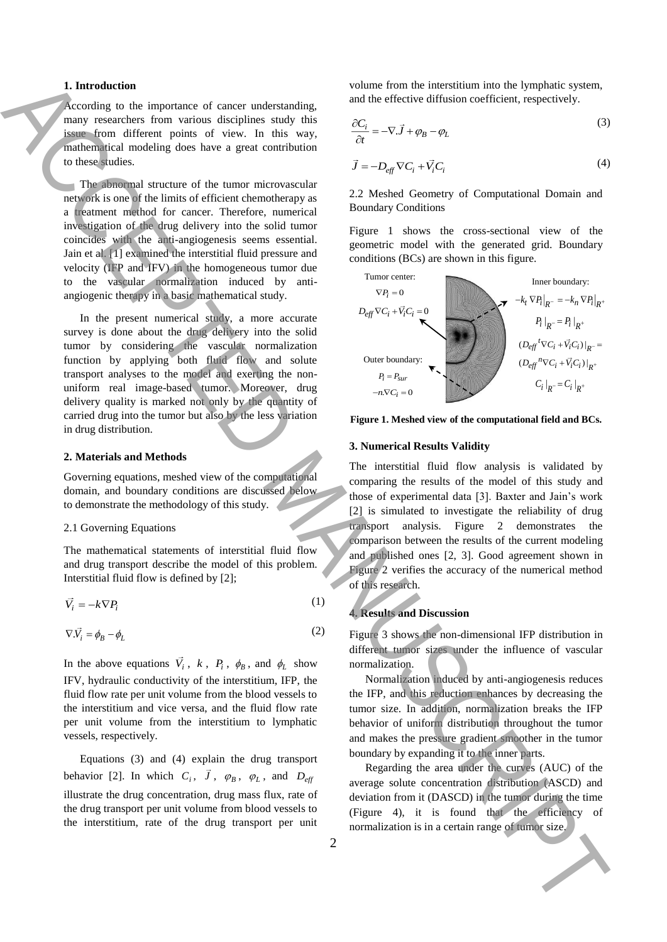#### **1. Introduction**

According to the importance of cancer understanding, many researchers from various disciplines study this issue from different points of view. In this way, mathematical modeling does have a great contribution to these studies.

The abnormal structure of the tumor microvascular network is one of the limits of efficient chemotherapy as a treatment method for cancer. Therefore, numerical investigation of the drug delivery into the solid tumor coincides with the anti-angiogenesis seems essential. Jain et al. [1] examined the interstitial fluid pressure and velocity (IFP and IFV) in the homogeneous tumor due to the vascular normalization induced by antiangiogenic therapy in a basic mathematical study.

In the present numerical study, a more accurate survey is done about the drug delivery into the solid tumor by considering the vascular normalization function by applying both fluid flow and solute transport analyses to the model and exerting the nonuniform real image-based tumor. Moreover, drug delivery quality is marked not only by the quantity of carried drug into the tumor but also by the less variation in drug distribution.

#### **2. Materials and Methods**

Governing equations, meshed view of the computational domain, and boundary conditions are discussed below to demonstrate the methodology of this study.

#### 2.1 Governing Equations

The mathematical statements of interstitial fluid flow and drug transport describe the model of this problem. Interstitial fluid flow is defined by [2];

$$
\vec{V}_i = -k \nabla P_i \tag{1}
$$

$$
\nabla \cdot \vec{V}_i = \phi_B - \phi_L \tag{2}
$$

In the above equations  $\vec{V}_i$ ,  $k$ ,  $P_i$ ,  $\phi_B$ , and  $\phi_L$  show IFV, hydraulic conductivity of the interstitium, IFP, the fluid flow rate per unit volume from the blood vessels to the interstitium and vice versa, and the fluid flow rate per unit volume from the interstitium to lymphatic vessels, respectively.

Equations (3) and (4) explain the drug transport behavior [2]. In which  $C_i$ ,  $J$ ,  $\varphi_B$ ,  $\varphi_L$ , and  $D_{\text{eff}}$ illustrate the drug concentration, drug mass flux, rate of the drug transport per unit volume from blood vessels to the interstitium, rate of the drug transport per unit volume from the interstitium into the lymphatic system, and the effective diffusion coefficient, respectively.

$$
\frac{\partial C_i}{\partial t} = -\nabla \cdot \vec{J} + \varphi_B - \varphi_L \tag{3}
$$

$$
\vec{J} = -D_{\text{eff}} \nabla C_i + \vec{V}_i C_i \tag{4}
$$

2.2 Meshed Geometry of Computational Domain and Boundary Conditions

Figure 1 shows the cross-sectional view of the geometric model with the generated grid. Boundary conditions (BCs) are shown in this figure.



**Figure 1. Meshed view of the computational field and BCs.**

#### **3. Numerical Results Validity**

The interstitial fluid flow analysis is validated by comparing the results of the model of this study and those of experimental data [3]. Baxter and Jain's work [2] is simulated to investigate the reliability of drug transport analysis. Figure 2 demonstrates the comparison between the results of the current modeling and published ones [2, 3]. Good agreement shown in Figure 2 verifies the accuracy of the numerical method of this research.

#### **4. Results and Discussion**

Figure 3 shows the non-dimensional IFP distribution in different tumor sizes under the influence of vascular normalization.

Normalization induced by anti-angiogenesis reduces the IFP, and this reduction enhances by decreasing the tumor size. In addition, normalization breaks the IFP behavior of uniform distribution throughout the tumor and makes the pressure gradient smoother in the tumor boundary by expanding it to the inner parts.

Regarding the area under the curves (AUC) of the average solute concentration distribution (ASCD) and deviation from it (DASCD) in the tumor during the time (Figure 4), it is found that the efficiency of normalization is in a certain range of tumor size.